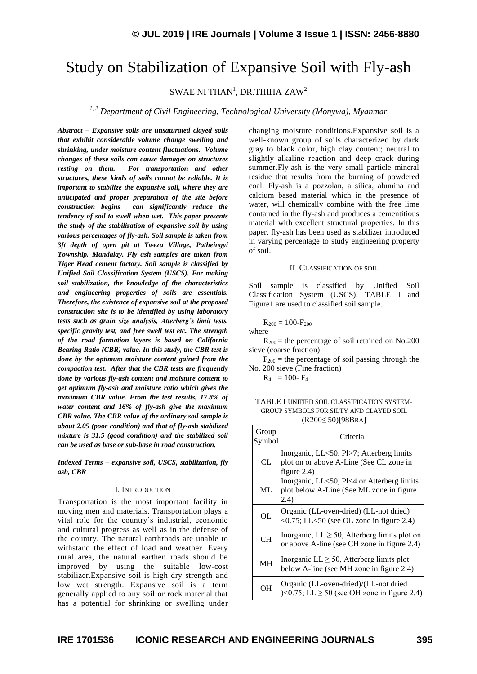# Study on Stabilization of Expansive Soil with Fly-ash

SWAE NI THAN<sup>1</sup>, DR.THIHA ZAW<sup>2</sup>

*1, 2 Department of Civil Engineering, Technological University (Monywa), Myanmar*

*Abstract – Expansive soils are unsaturated clayed soils that exhibit considerable volume change swelling and shrinking, under moisture content fluctuations. Volume changes of these soils can cause damages on structures resting on them. For transportation and other structures, these kinds of soils cannot be reliable. It is important to stabilize the expansive soil, where they are anticipated and proper preparation of the site before construction begins can significantly reduce the tendency of soil to swell when wet. This paper presents the study of the stabilization of expansive soil by using various percentages of fly-ash. Soil sample is taken from 3ft depth of open pit at Ywezu Village, Patheingyi Township, Mandalay. Fly ash samples are taken from Tiger Head cement factory. Soil sample is classified by Unified Soil Classification System (USCS). For making soil stabilization, the knowledge of the characteristics and engineering properties of soils are essentials. Therefore, the existence of expansive soil at the proposed construction site is to be identified by using laboratory tests such as grain size analysis, Atterberg's limit tests, specific gravity test, and free swell test etc. The strength of the road formation layers is based on California Bearing Ratio (CBR) value. In this study, the CBR test is done by the optimum moisture content gained from the compaction test. After that the CBR tests are frequently done by various fly-ash content and moisture content to get optimum fly-ash and moisture ratio which gives the maximum CBR value. From the test results, 17.8% of water content and 16% of fly-ash give the maximum CBR value. The CBR value of the ordinary soil sample is about 2.05 (poor condition) and that of fly-ash stabilized mixture is 31.5 (good condition) and the stabilized soil can be used as base or sub-base in road construction.*

*Indexed Terms – expansive soil, USCS, stabilization, fly ash, CBR*

#### I. INTRODUCTION

Transportation is the most important facility in moving men and materials. Transportation plays a vital role for the country's industrial, economic and cultural progress as well as in the defense of the country. The natural earthroads are unable to withstand the effect of load and weather. Every rural area, the natural earthen roads should be improved by using the suitable low-cost stabilizer.Expansive soil is high dry strength and low wet strength. Expansive soil is a term generally applied to any soil or rock material that has a potential for shrinking or swelling under

changing moisture conditions.Expansive soil is a well-known group of soils characterized by dark gray to black color, high clay content; neutral to slightly alkaline reaction and deep crack during summer.Fly-ash is the very small particle mineral residue that results from the burning of powdered coal. Fly-ash is a pozzolan, a silica, alumina and calcium based material which in the presence of water, will chemically combine with the free lime contained in the fly-ash and produces a cementitious material with excellent structural properties. In this paper, fly-ash has been used as stabilizer introduced in varying percentage to study engineering property of soil.

## II. CLASSIFICATION OF SOIL

Soil sample is classified by Unified Soil Classification System (USCS). TABLE I and Figure1 are used to classified soil sample.

 $R_{200} = 100-F_{200}$ 

where

 $R_{200}$  = the percentage of soil retained on No.200 sieve (coarse fraction)

 $F_{200}$  = the percentage of soil passing through the No. 200 sieve (Fine fraction)

 $R_4 = 100 - F_4$ 

TABLE I UNIFIED SOIL CLASSIFICATION SYSTEM-GROUP SYMBOLS FOR SILTY AND CLAYED SOIL (R200≤ 50)[98BRA]

| Group<br>Symbol | Criteria                                                                                                    |
|-----------------|-------------------------------------------------------------------------------------------------------------|
| CL              | Inorganic, LL<50. Pl>7; Atterberg limits<br>plot on or above A-Line (See CL zone in<br>figure $2.4$ )       |
| ML.             | Inorganic, LL<50, Pl<4 or Atterberg limits<br>plot below A-Line (See ML zone in figure<br>2.4)              |
| OL              | Organic (LL-oven-dried) (LL-not dried)<br>$\langle 0.75; LL \langle 50 \rangle$ (see OL zone in figure 2.4) |
| <b>CH</b>       | Inorganic, $LL \geq 50$ , Atterberg limits plot on<br>or above A-line (see CH zone in figure 2.4)           |
| <b>MH</b>       | Inorganic $LL \geq 50$ , Atterberg limits plot<br>below A-line (see MH zone in figure 2.4)                  |
| OН              | Organic (LL-oven-dried)/(LL-not dried<br>$\leq 0.75$ ; LL $\geq 50$ (see OH zone in figure 2.4)             |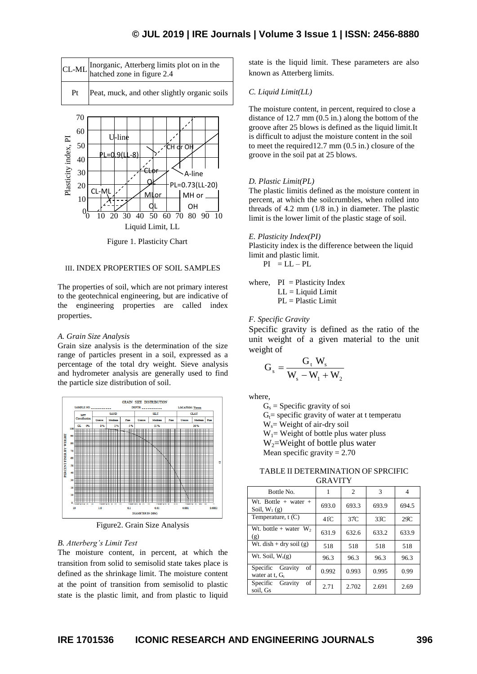## **© JUL 2019 | IRE Journals | Volume 3 Issue 1 | ISSN: 2456-8880**





Figure 1. Plasticity Chart

## III. INDEX PROPERTIES OF SOIL SAMPLES

The properties of soil, which are not primary interest to the geotechnical engineering, but are indicative of the engineering properties are called index properties.

#### *A. Grain Size Analysis*

Grain size analysis is the determination of the size range of particles present in a soil, expressed as a percentage of the total dry weight. Sieve analysis and hydrometer analysis are generally used to find the particle size distribution of soil.



Figure2. Grain Size Analysis

## *B. Atterberg's Limit Test*

The moisture content, in percent, at which the transition from solid to semisolid state takes place is defined as the shrinkage limit. The moisture content at the point of transition from semisolid to plastic state is the plastic limit, and from plastic to liquid state is the liquid limit. These parameters are also known as Atterberg limits.

#### *C. Liquid Limit(LL)*

The moisture content, in percent, required to close a distance of 12.7 mm (0.5 in.) along the bottom of the groove after 25 blows is defined as the liquid limit*.*It is difficult to adjust the moisture content in the soil to meet the required12.7 mm (0.5 in.) closure of the groove in the soil pat at 25 blows.

### *D. Plastic Limit(PL)*

The plastic limitis defined as the moisture content in percent, at which the soilcrumbles, when rolled into threads of 4.2 mm (1/8 in.) in diameter. The plastic limit is the lower limit of the plastic stage of soil.

*E. Plasticity Index(PI)*

Plasticity index is the difference between the liquid limit and plastic limit.

 $PI = LL - PL$ 

where,  $PI = Plasticity Index$  $LL =$  Liquid Limit PL = Plastic Limit

## *F. Specific Gravity*

Specific gravity is defined as the ratio of the unit weight of a given material to the unit weight of

$$
\mathbf{G}_{s} = \frac{\mathbf{G}_{t} \mathbf{W}_{s}}{\mathbf{W}_{s} - \mathbf{W}_{1} + \mathbf{W}_{2}}
$$

where,

 $G_s$  = Specific gravity of soi

 $G_t$ = specific gravity of water at t temperatu

 $W_s$  = Weight of air-dry soil

 $W_1$ = Weight of bottle plus water pluss

 $W_2$ =Weight of bottle plus water

Mean specific gravity  $= 2.70$ 

TABLE II DETERMINATION OF SPRCIFIC GRAVITY

| Bottle No.                                  | 1              | 2     | 3     | 4     |
|---------------------------------------------|----------------|-------|-------|-------|
| Wt. Bottle $+$ water $+$<br>Soil, $W_1(g)$  | 693.0          | 693.3 | 693.9 | 694.5 |
| Temperature, $t(C)$                         | $41^{\circ}$ C | 37C   | 33C   | 29C   |
| Wt. bottle + water $W_2$<br>(g)             | 631.9          | 632.6 | 633.2 | 633.9 |
| Wt. dish + dry soil $(g)$                   | 518            | 518   | 518   | 518   |
| $\overline{W}$ t. Soil, $W_s(g)$            | 96.3           | 96.3  | 96.3  | 96.3  |
| Specific Gravity<br>of<br>water at t, $G_t$ | 0.992          | 0.993 | 0.995 | 0.99  |
| Gravity<br>Specific<br>of<br>soil, Gs       | 2.71           | 2.702 | 2.691 | 2.69  |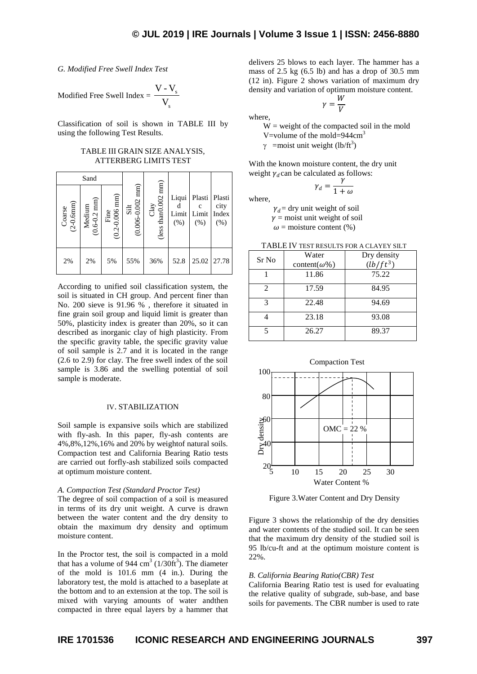*G. Modified Free Swell Index Test*

Modified Free Swell Index = 
$$
\frac{V - V_s}{V_s}
$$

Classification of soil is shown in TABLE III by using the following Test Results.

## TABLE III GRAIN SIZE ANALYSIS, ATTERBERG LIMITS TEST

| Sand                        |                           |                                       |                          |                                 |                        |                         |                                 |
|-----------------------------|---------------------------|---------------------------------------|--------------------------|---------------------------------|------------------------|-------------------------|---------------------------------|
| $(2 - 0.6$ mm $)$<br>Coarse | Medium<br>( $0.6-0.2$ mm) | Fine $(0.2{\text -}0.006 \text{ mm})$ | Silt<br>(0.006-0.002 mm) | Clay<br>(less than<br>0.002 mm) | Liqui<br>Limit<br>(% ) | Plasti<br>Limit<br>(% ) | Plasti<br>city<br>Index<br>(% ) |
| 2%                          | 2%                        | 5%                                    | 55%                      | 36%                             | 52.8                   | 25.02                   | 27.78                           |

According to unified soil classification system, the soil is situated in CH group. And percent finer than No. 200 sieve is 91.96 % , therefore it situated in fine grain soil group and liquid limit is greater than 50%, plasticity index is greater than 20%, so it can described as inorganic clay of high plasticity. From the specific gravity table, the specific gravity value of soil sample is 2.7 and it is located in the range (2.6 to 2.9) for clay. The free swell index of the soil sample is 3.86 and the swelling potential of soil sample is moderate.

## IV. STABILIZATION

Soil sample is expansive soils which are stabilized with fly-ash. In this paper, fly-ash contents are 4%,8%,12%,16% and 20% by weightof natural soils. Compaction test and California Bearing Ratio tests are carried out forfly-ash stabilized soils compacted at optimum moisture content.

## *A. Compaction Test (Standard Proctor Test)*

The degree of soil compaction of a soil is measured in terms of its dry unit weight. A curve is drawn between the water content and the dry density to obtain the maximum dry density and optimum moisture content.

In the Proctor test, the soil is compacted in a mold that has a volume of 944  $\text{cm}^3$  (1/30 $\text{ft}^3$ ). The diameter of the mold is 101.6 mm (4 in.). During the laboratory test, the mold is attached to a baseplate at the bottom and to an extension at the top. The soil is mixed with varying amounts of water andthen compacted in three equal layers by a hammer that

delivers 25 blows to each layer. The hammer has a mass of 2.5 kg (6.5 lb) and has a drop of 30.5 mm (12 in). Figure 2 shows variation of maximum dry density and variation of optimum moisture content.

 $\gamma=\frac{W}{V}$ V

where,

 $W = weight of the compacted soil in the mold$ V=volume of the mold=944cm<sup>3</sup>

 $\gamma$  =moist unit weight (lb/ft<sup>3</sup>)

With the known moisture content, the dry unit weight  $\gamma_d$  can be calculated as follows:

$$
\gamma_d = \frac{\gamma}{1 + \omega}
$$

where,

 $\gamma_d$  = dry unit weight of soil

 $\gamma$  = moist unit weight of soil

 $\omega$  = moisture content (%)

| Sr No         | Water<br>content( $\omega\%$ ) | Dry density<br>$(h/ft^3)$ |
|---------------|--------------------------------|---------------------------|
|               | 11.86                          | 75.22                     |
| $\mathcal{L}$ | 17.59                          | 84.95                     |
| 3             | 22.48                          | 94.69                     |
|               | 23.18                          | 93.08                     |
|               | 26.27                          | 89.37                     |

TABLE IV TEST RESULTS FOR A CLAYEY SILT



Figure 3. Water Content and Dry Density

Figure 3 shows the relationship of the dry densities and water contents of the studied soil. It can be seen that the maximum dry density of the studied soil is 95 lb/cu-ft and at the optimum moisture content is 22%.

## *B. California Bearing Ratio(CBR) Test*

California Bearing Ratio test is used for evaluating the relative quality of subgrade, sub-base, and base soils for pavements. The CBR number is used to rate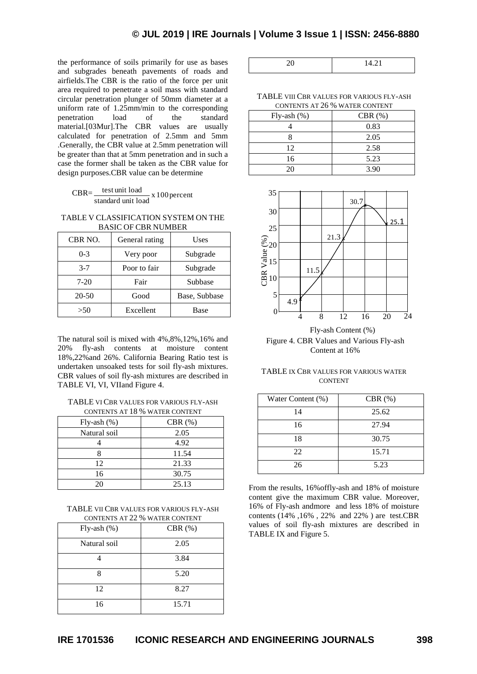the performance of soils primarily for use as bases and subgrades beneath pavements of roads and airfields.The CBR is the ratio of the force per unit area required to penetrate a soil mass with standard circular penetration plunger of 50mm diameter at a uniform rate of 1.25mm/min to the corresponding penetration load of the standard material.[03Mur].The CBR values are usually calculated for penetration of 2.5mm and 5mm .Generally, the CBR value at 2.5mm penetration will be greater than that at 5mm penetration and in such a case the former shall be taken as the CBR value for design purposes.CBR value can be determine

| $CBR=$ | test unit load     | $x 100$ percent |
|--------|--------------------|-----------------|
|        | standard unit load |                 |

TABLE V CLASSIFICATION SYSTEM ON THE BASIC OF CBR NUMBER

| CBR NO. | General rating | Uses          |
|---------|----------------|---------------|
| $0 - 3$ | Very poor      | Subgrade      |
| $3 - 7$ | Poor to fair   | Subgrade      |
| $7-20$  | Fair           | Subbase       |
| 20-50   | Good           | Base, Subbase |
| >50     | Excellent      | Base          |

The natural soil is mixed with 4%,8%,12%,16% and 20% fly-ash contents at moisture content 18%,22%and 26%. California Bearing Ratio test is undertaken unsoaked tests for soil fly-ash mixtures. CBR values of soil fly-ash mixtures are described in TABLE VI, VI, VIIand Figure 4.

TABLE VI CBR VALUES FOR VARIOUS FLY-ASH CONTENTS AT 18 % WATER CONTENT

| $Fly-ash(\%)$ | $CBR$ $(\%)$ |
|---------------|--------------|
| Natural soil  | 2.05         |
|               | 4.92         |
|               | 11.54        |
| 12            | 21.33        |
| 16            | 30.75        |
| 20            | 25.13        |

TABLE VII CBR VALUES FOR VARIOUS FLY-ASH CONTENTS AT 22 % WATER CONTENT

| Fly-ash $(\%)$ | CBR $(\%)$ |  |
|----------------|------------|--|
| Natural soil   | 2.05       |  |
|                | 3.84       |  |
| Q              | 5.20       |  |
| 12             | 8.27       |  |
| 16             | 15.71      |  |

TABLE VIII CBR VALUES FOR VARIOUS FLY-ASH CONTENTS AT 26 % WATER CONTENT

| $Fly-ash(\%)$ | $CBR$ $(\%)$ |
|---------------|--------------|
|               | 0.83         |
|               | 2.05         |
| 12            | 2.58         |
| 16            | 5.23         |
| 20            | 3.90         |



Figure 4. CBR Values and Various Fly-ash Content at 16%

TABLE IX CBR VALUES FOR VARIOUS WATER CONTENT

| Water Content (%) | CBR $(\%)$ |
|-------------------|------------|
| 14                | 25.62      |
| 16                | 27.94      |
| 18                | 30.75      |
| 22                | 15.71      |
| 26                | 5.23       |

From the results, 16%offly-ash and 18% of moisture content give the maximum CBR value. Moreover, 16% of Fly-ash andmore and less 18% of moisture contents (14% ,16% , 22% and 22% ) are test.CBR values of soil fly-ash mixtures are described in TABLE IX and Figure 5.